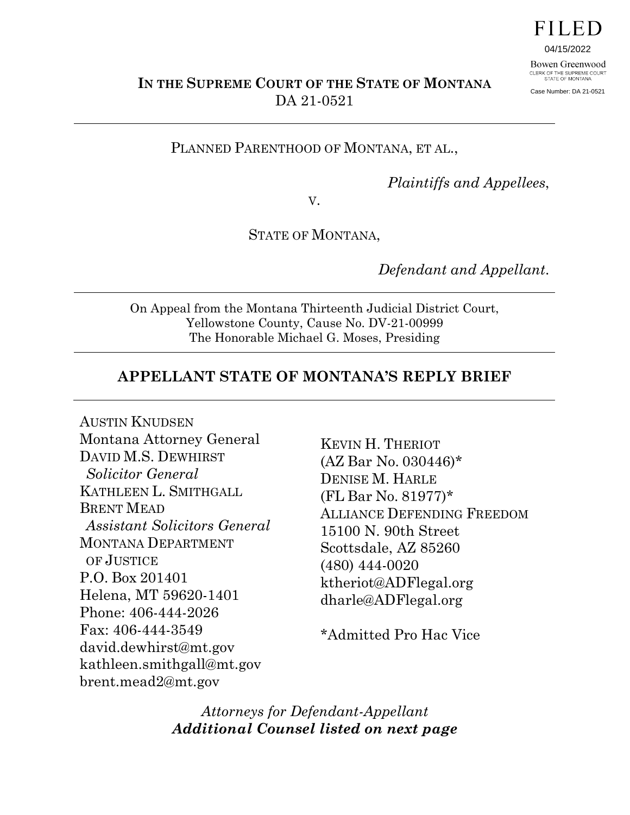

04/15/2022

Bowen Greenwood CLERK OF THE SUPREME COURT<br>STATE OF MONTANA Case Number: DA 21-0521

**IN THE SUPREME COURT OF THE STATE OF MONTANA** DA 21-0521

PLANNED PARENTHOOD OF MONTANA, ET AL.,

*Plaintiffs and Appellees*,

V.

STATE OF MONTANA,

*Defendant and Appellant*.

On Appeal from the Montana Thirteenth Judicial District Court, Yellowstone County, Cause No. DV-21-00999 The Honorable Michael G. Moses, Presiding

#### **APPELLANT STATE OF MONTANA'S REPLY BRIEF**

AUSTIN KNUDSEN Montana Attorney General DAVID M.S. DEWHIRST *Solicitor General*  KATHLEEN L. SMITHGALL BRENT MEAD *Assistant Solicitors General*  MONTANA DEPARTMENT OF JUSTICE P.O. Box 201401 Helena, MT 59620-1401 Phone: 406-444-2026 Fax: 406-444-3549 david.dewhirst@mt.gov kathleen.smithgall@mt.gov brent.mead2@mt.gov

KEVIN H. THERIOT (AZ Bar No. 030446)\* DENISE M. HARLE (FL Bar No. 81977)\* ALLIANCE DEFENDING FREEDOM 15100 N. 90th Street Scottsdale, AZ 85260 (480) 444-0020 ktheriot@ADFlegal.org dharle@ADFlegal.org

\*Admitted Pro Hac Vice

*Attorneys for Defendant-Appellant Additional Counsel listed on next page*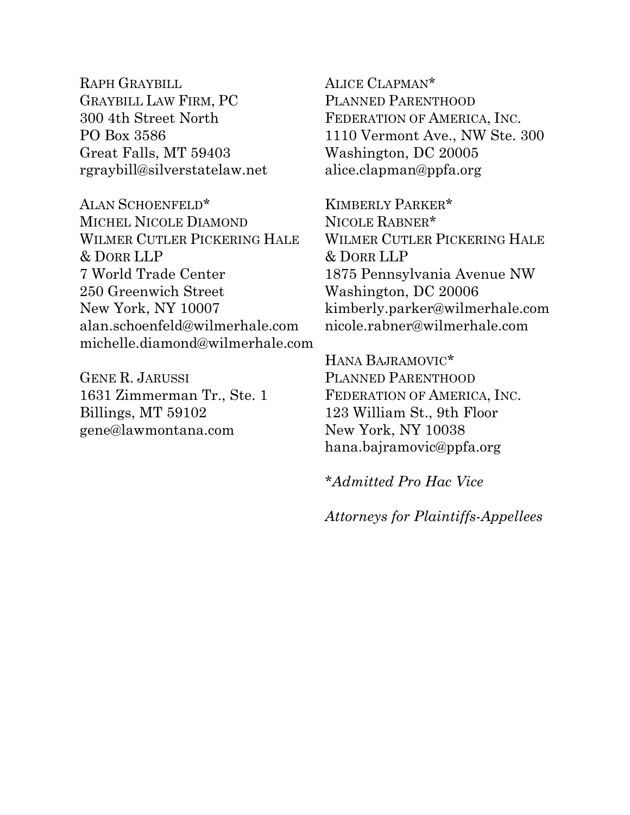RAPH GRAYBILL GRAYBILL LAW FIRM, PC 300 4th Street North PO Box 3586 Great Falls, MT 59403 rgraybill@silverstatelaw.net

ALAN SCHOENFELD\* MICHEL NICOLE DIAMOND WILMER CUTLER PICKERING HALE & DORR LLP 7 World Trade Center 250 Greenwich Street New York, NY 10007 alan.schoenfeld@wilmerhale.com michelle.diamond@wilmerhale.com

GENE R. JARUSSI 1631 Zimmerman Tr., Ste. 1 Billings, MT 59102 gene@lawmontana.com

ALICE CLAPMAN\* PLANNED PARENTHOOD FEDERATION OF AMERICA, INC. 1110 Vermont Ave., NW Ste. 300 Washington, DC 20005 alice.clapman@ppfa.org

KIMBERLY PARKER\* NICOLE RABNER\* WILMER CUTLER PICKERING HALE & DORR LLP 1875 Pennsylvania Avenue NW Washington, DC 20006 kimberly.parker@wilmerhale.com nicole.rabner@wilmerhale.com

HANA BAJRAMOVIC\* PLANNED PARENTHOOD FEDERATION OF AMERICA, INC. 123 William St., 9th Floor New York, NY 10038 hana.bajramovic@ppfa.org

*\*Admitted Pro Hac Vice*

*Attorneys for Plaintiffs-Appellees*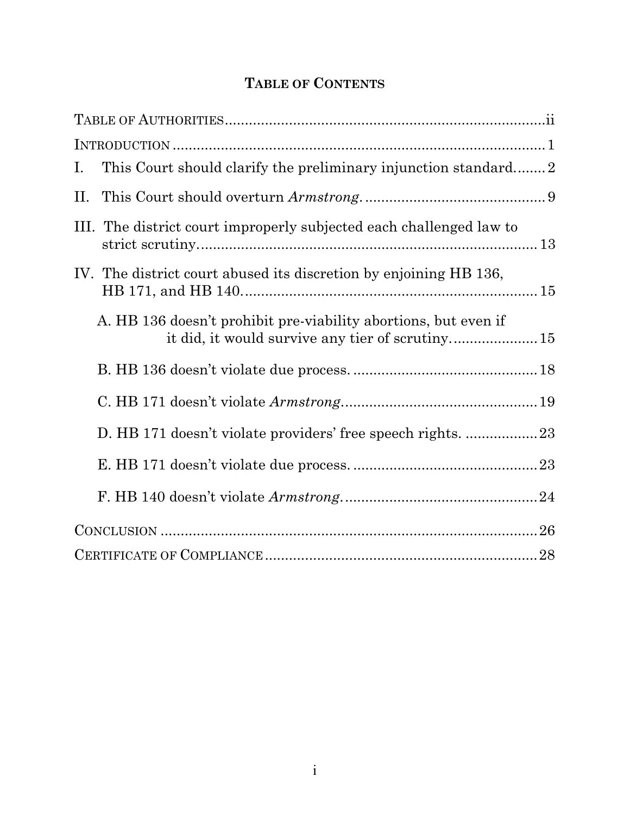# **TABLE OF CONTENTS**

| $\mathbf{I}$ .                                                      |
|---------------------------------------------------------------------|
| П.                                                                  |
| III. The district court improperly subjected each challenged law to |
| IV. The district court abused its discretion by enjoining HB 136,   |
| A. HB 136 doesn't prohibit pre-viability abortions, but even if     |
|                                                                     |
|                                                                     |
|                                                                     |
|                                                                     |
|                                                                     |
|                                                                     |
|                                                                     |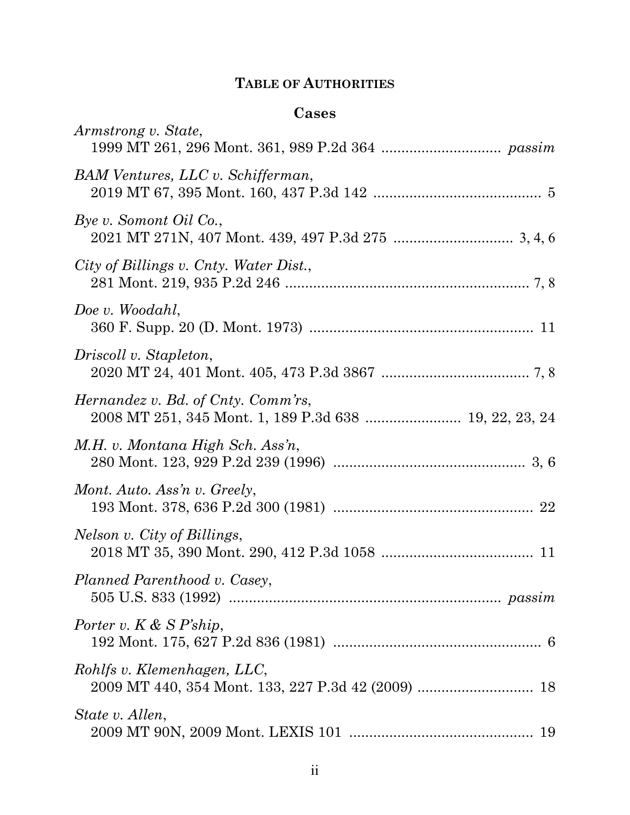# **TABLE OF AUTHORITIES**

### **Cases**

| Armstrong v. State,                    |
|----------------------------------------|
| BAM Ventures, LLC v. Schifferman,      |
| Bye v. Somont Oil Co.,                 |
| City of Billings v. Cnty. Water Dist., |
| Doe v. Woodahl,                        |
| Driscoll v. Stapleton,                 |
| Hernandez v. Bd. of Cnty. Comm'rs,     |
| M.H. v. Montana High Sch. Ass'n,       |
| Mont. Auto. Ass'n v. Greely,           |
| Nelson v. City of Billings,            |
| Planned Parenthood v. Casey,           |
| Porter v. $K \& S \, P^* \,$ ship,     |
| Rohlfs v. Klemenhagen, LLC,            |
| State v. Allen,                        |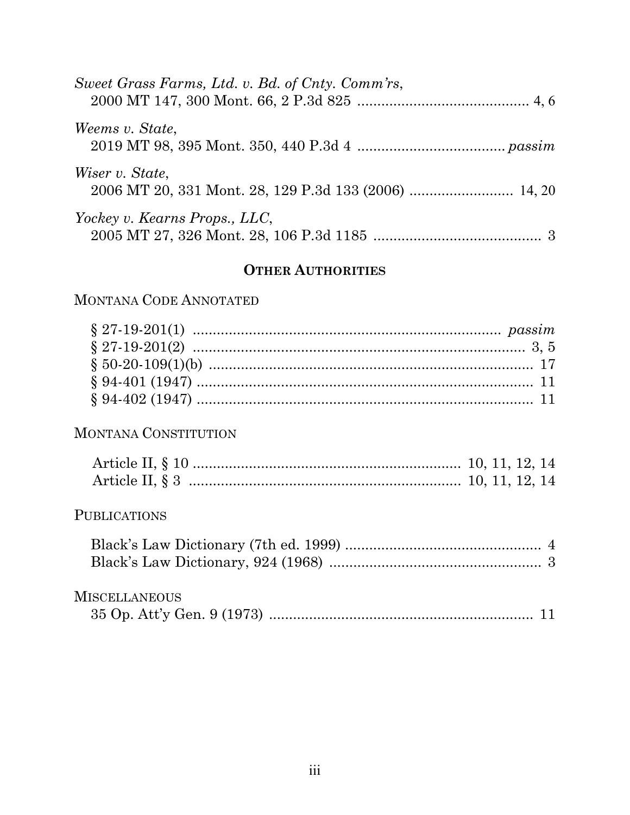| Sweet Grass Farms, Ltd. v. Bd. of Cnty. Comm'rs, |
|--------------------------------------------------|
| Weems v. State,                                  |
| Wiser v. State,                                  |
| Yockey v. Kearns Props., LLC,                    |

## **OTHER AUTHORITIES**

### MONTANA CODE ANNOTATED

### MONTANA CONSTITUTION

### PUBLICATIONS

## **MISCELLANEOUS**

|--|--|--|--|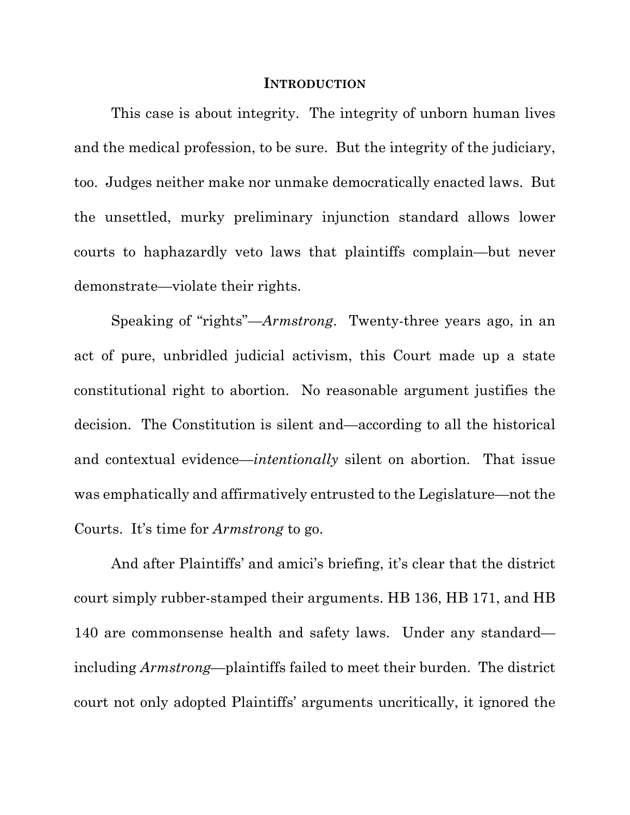#### **INTRODUCTION**

 This case is about integrity. The integrity of unborn human lives and the medical profession, to be sure. But the integrity of the judiciary, too. Judges neither make nor unmake democratically enacted laws. But the unsettled, murky preliminary injunction standard allows lower courts to haphazardly veto laws that plaintiffs complain—but never demonstrate—violate their rights.

Speaking of "rights"—*Armstrong*. Twenty-three years ago, in an act of pure, unbridled judicial activism, this Court made up a state constitutional right to abortion. No reasonable argument justifies the decision. The Constitution is silent and—according to all the historical and contextual evidence—*intentionally* silent on abortion. That issue was emphatically and affirmatively entrusted to the Legislature—not the Courts. It's time for *Armstrong* to go.

And after Plaintiffs' and amici's briefing, it's clear that the district court simply rubber-stamped their arguments. HB 136, HB 171, and HB 140 are commonsense health and safety laws. Under any standard including *Armstrong*—plaintiffs failed to meet their burden. The district court not only adopted Plaintiffs' arguments uncritically, it ignored the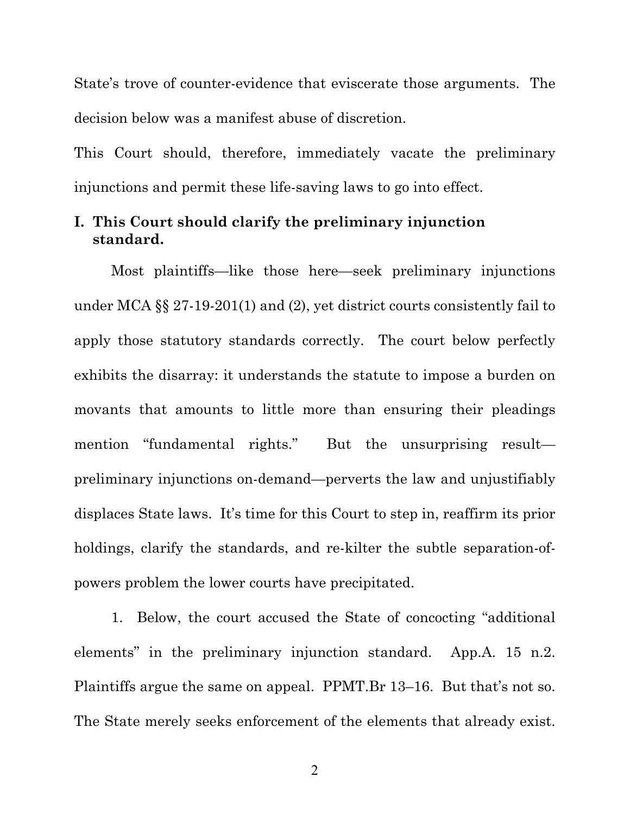State's trove of counter-evidence that eviscerate those arguments. The decision below was a manifest abuse of discretion.

This Court should, therefore, immediately vacate the preliminary injunctions and permit these life-saving laws to go into effect.

### **I. This Court should clarify the preliminary injunction standard.**

Most plaintiffs—like those here—seek preliminary injunctions under MCA §§ 27-19-201(1) and (2), yet district courts consistently fail to apply those statutory standards correctly. The court below perfectly exhibits the disarray: it understands the statute to impose a burden on movants that amounts to little more than ensuring their pleadings mention "fundamental rights." But the unsurprising result preliminary injunctions on-demand—perverts the law and unjustifiably displaces State laws. It's time for this Court to step in, reaffirm its prior holdings, clarify the standards, and re-kilter the subtle separation-ofpowers problem the lower courts have precipitated.

1. Below, the court accused the State of concocting "additional elements" in the preliminary injunction standard. App.A. 15 n.2. Plaintiffs argue the same on appeal. PPMT.Br 13–16. But that's not so. The State merely seeks enforcement of the elements that already exist.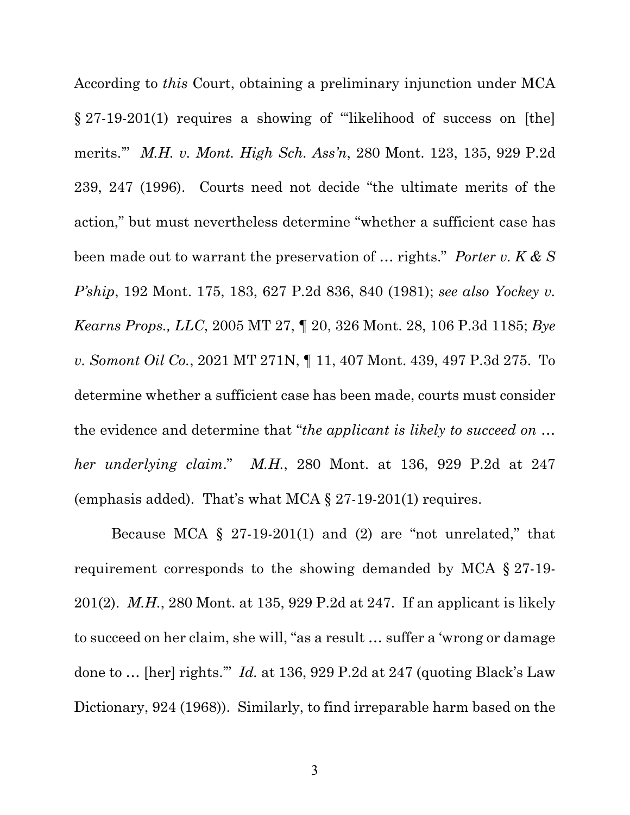According to *this* Court, obtaining a preliminary injunction under MCA § 27-19-201(1) requires a showing of "'likelihood of success on [the] merits.'" *M.H. v. Mont. High Sch. Ass'n*, 280 Mont. 123, 135, 929 P.2d 239, 247 (1996). Courts need not decide "the ultimate merits of the action," but must nevertheless determine "whether a sufficient case has been made out to warrant the preservation of … rights." *Porter v. K & S P'ship*, 192 Mont. 175, 183, 627 P.2d 836, 840 (1981); *see also Yockey v. Kearns Props., LLC*, 2005 MT 27, ¶ 20, 326 Mont. 28, 106 P.3d 1185; *Bye v. Somont Oil Co.*, 2021 MT 271N, ¶ 11, 407 Mont. 439, 497 P.3d 275. To determine whether a sufficient case has been made, courts must consider the evidence and determine that "*the applicant is likely to succeed on … her underlying claim*." *M.H.*, 280 Mont. at 136, 929 P.2d at 247 (emphasis added). That's what MCA § 27-19-201(1) requires.

Because MCA  $\S$  27-19-201(1) and (2) are "not unrelated," that requirement corresponds to the showing demanded by MCA § 27-19- 201(2). *M.H.*, 280 Mont. at 135, 929 P.2d at 247. If an applicant is likely to succeed on her claim, she will, "as a result … suffer a 'wrong or damage done to … [her] rights.'" *Id.* at 136, 929 P.2d at 247 (quoting Black's Law Dictionary, 924 (1968)). Similarly, to find irreparable harm based on the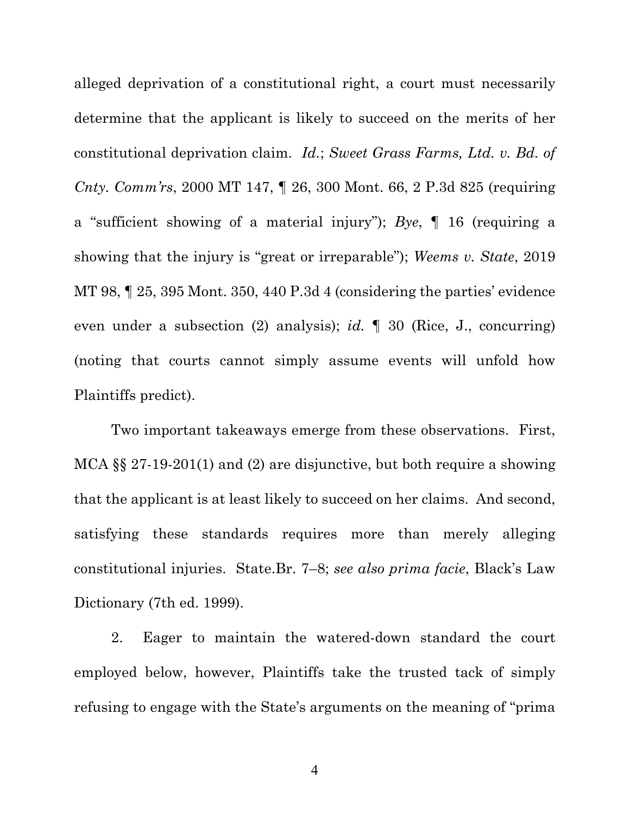alleged deprivation of a constitutional right, a court must necessarily determine that the applicant is likely to succeed on the merits of her constitutional deprivation claim. *Id.*; *Sweet Grass Farms, Ltd. v. Bd. of Cnty. Comm'rs*, 2000 MT 147, ¶ 26, 300 Mont. 66, 2 P.3d 825 (requiring a "sufficient showing of a material injury"); *Bye*, ¶ 16 (requiring a showing that the injury is "great or irreparable"); *Weems v. State*, 2019 MT 98, ¶ 25, 395 Mont. 350, 440 P.3d 4 (considering the parties' evidence even under a subsection (2) analysis); *id.* ¶ 30 (Rice, J., concurring) (noting that courts cannot simply assume events will unfold how Plaintiffs predict).

Two important takeaways emerge from these observations. First, MCA §§ 27-19-201(1) and (2) are disjunctive, but both require a showing that the applicant is at least likely to succeed on her claims. And second, satisfying these standards requires more than merely alleging constitutional injuries. State.Br. 7–8; *see also prima facie*, Black's Law Dictionary (7th ed. 1999).

2. Eager to maintain the watered-down standard the court employed below, however, Plaintiffs take the trusted tack of simply refusing to engage with the State's arguments on the meaning of "prima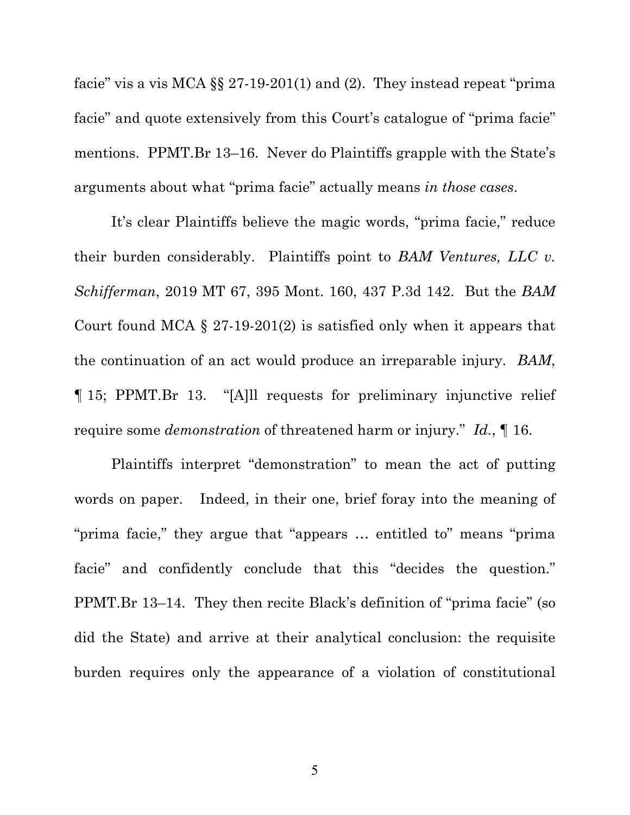facie" vis a vis MCA  $\S$  27-19-201(1) and (2). They instead repeat "prima" facie" and quote extensively from this Court's catalogue of "prima facie" mentions. PPMT.Br 13–16. Never do Plaintiffs grapple with the State's arguments about what "prima facie" actually means *in those cases*.

It's clear Plaintiffs believe the magic words, "prima facie," reduce their burden considerably. Plaintiffs point to *BAM Ventures, LLC v. Schifferman*, 2019 MT 67, 395 Mont. 160, 437 P.3d 142. But the *BAM* Court found MCA  $\S 27-19-201(2)$  is satisfied only when it appears that the continuation of an act would produce an irreparable injury. *BAM*, ¶ 15; PPMT.Br 13. "[A]ll requests for preliminary injunctive relief require some *demonstration* of threatened harm or injury." *Id.*, ¶ 16.

Plaintiffs interpret "demonstration" to mean the act of putting words on paper. Indeed, in their one, brief foray into the meaning of "prima facie," they argue that "appears … entitled to" means "prima facie" and confidently conclude that this "decides the question." PPMT.Br 13–14. They then recite Black's definition of "prima facie" (so did the State) and arrive at their analytical conclusion: the requisite burden requires only the appearance of a violation of constitutional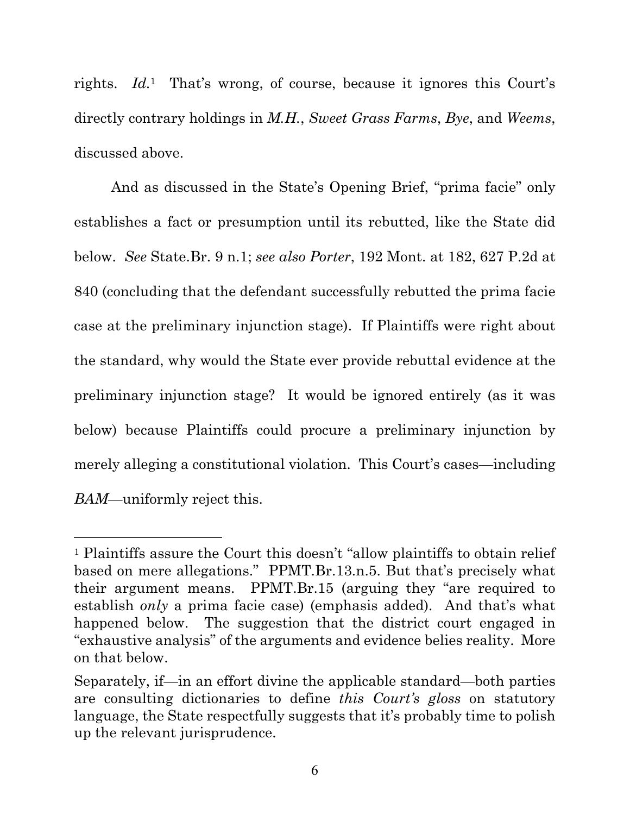rights. *Id.*1 That's wrong, of course, because it ignores this Court's directly contrary holdings in *M.H.*, *Sweet Grass Farms*, *Bye*, and *Weems*, discussed above.

And as discussed in the State's Opening Brief, "prima facie" only establishes a fact or presumption until its rebutted, like the State did below. *See* State.Br. 9 n.1; *see also Porter*, 192 Mont. at 182, 627 P.2d at 840 (concluding that the defendant successfully rebutted the prima facie case at the preliminary injunction stage). If Plaintiffs were right about the standard, why would the State ever provide rebuttal evidence at the preliminary injunction stage? It would be ignored entirely (as it was below) because Plaintiffs could procure a preliminary injunction by merely alleging a constitutional violation. This Court's cases—including *BAM*—uniformly reject this.

<sup>1</sup> Plaintiffs assure the Court this doesn't "allow plaintiffs to obtain relief based on mere allegations." PPMT.Br.13.n.5. But that's precisely what their argument means. PPMT.Br.15 (arguing they "are required to establish *only* a prima facie case) (emphasis added). And that's what happened below. The suggestion that the district court engaged in "exhaustive analysis" of the arguments and evidence belies reality. More on that below.

Separately, if—in an effort divine the applicable standard—both parties are consulting dictionaries to define *this Court's gloss* on statutory language, the State respectfully suggests that it's probably time to polish up the relevant jurisprudence.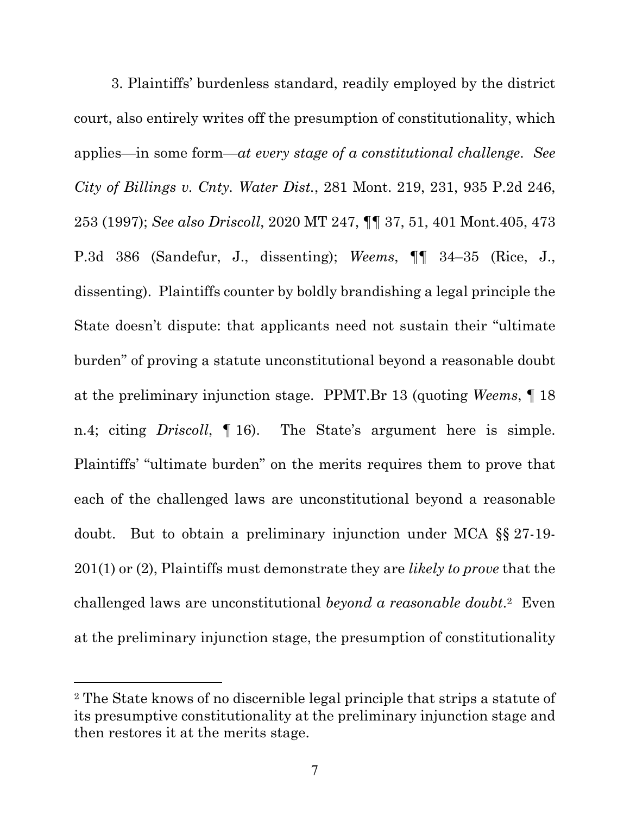3. Plaintiffs' burdenless standard, readily employed by the district court, also entirely writes off the presumption of constitutionality, which applies—in some form—*at every stage of a constitutional challenge*. *See City of Billings v. Cnty. Water Dist.*, 281 Mont. 219, 231, 935 P.2d 246, 253 (1997); *See also Driscoll*, 2020 MT 247, ¶¶ 37, 51, 401 Mont.405, 473 P.3d 386 (Sandefur, J., dissenting); *Weems*, ¶¶ 34–35 (Rice, J., dissenting). Plaintiffs counter by boldly brandishing a legal principle the State doesn't dispute: that applicants need not sustain their "ultimate burden" of proving a statute unconstitutional beyond a reasonable doubt at the preliminary injunction stage. PPMT.Br 13 (quoting *Weems*, ¶ 18 n.4; citing *Driscoll*, ¶ 16). The State's argument here is simple. Plaintiffs' "ultimate burden" on the merits requires them to prove that each of the challenged laws are unconstitutional beyond a reasonable doubt. But to obtain a preliminary injunction under MCA §§ 27-19- 201(1) or (2), Plaintiffs must demonstrate they are *likely to prove* that the challenged laws are unconstitutional *beyond a reasonable doubt*.2 Even at the preliminary injunction stage, the presumption of constitutionality

<sup>2</sup> The State knows of no discernible legal principle that strips a statute of its presumptive constitutionality at the preliminary injunction stage and then restores it at the merits stage.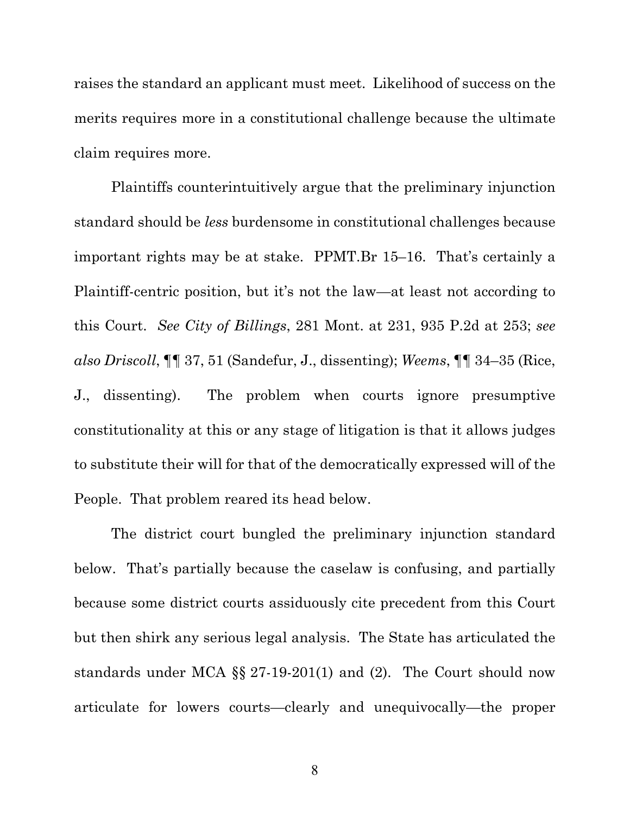raises the standard an applicant must meet. Likelihood of success on the merits requires more in a constitutional challenge because the ultimate claim requires more.

Plaintiffs counterintuitively argue that the preliminary injunction standard should be *less* burdensome in constitutional challenges because important rights may be at stake. PPMT.Br 15–16. That's certainly a Plaintiff-centric position, but it's not the law—at least not according to this Court. *See City of Billings*, 281 Mont. at 231, 935 P.2d at 253; *see also Driscoll*, ¶¶ 37, 51 (Sandefur, J., dissenting); *Weems*, ¶¶ 34–35 (Rice, J., dissenting). The problem when courts ignore presumptive constitutionality at this or any stage of litigation is that it allows judges to substitute their will for that of the democratically expressed will of the People. That problem reared its head below.

 The district court bungled the preliminary injunction standard below. That's partially because the caselaw is confusing, and partially because some district courts assiduously cite precedent from this Court but then shirk any serious legal analysis. The State has articulated the standards under MCA §§ 27-19-201(1) and (2). The Court should now articulate for lowers courts—clearly and unequivocally—the proper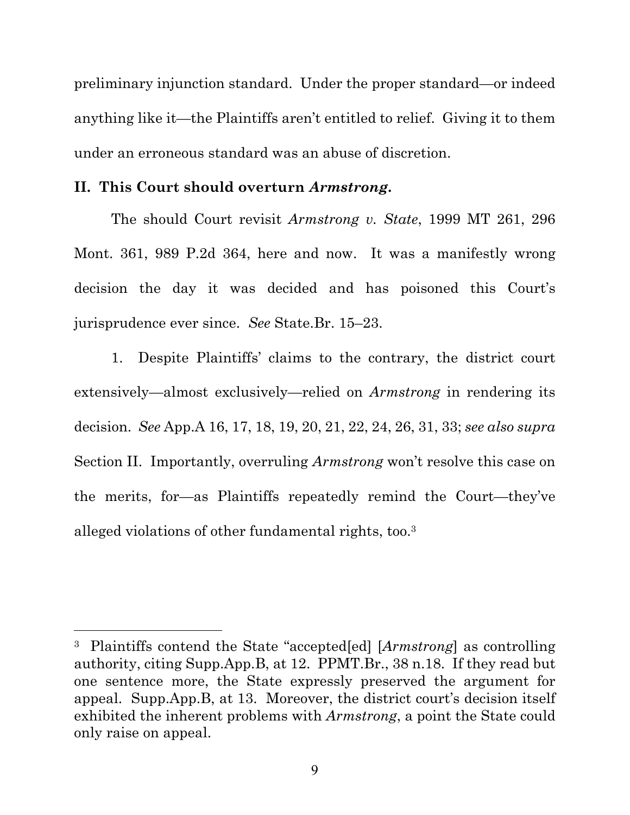preliminary injunction standard. Under the proper standard—or indeed anything like it—the Plaintiffs aren't entitled to relief. Giving it to them under an erroneous standard was an abuse of discretion.

#### **II. This Court should overturn** *Armstrong***.**

 The should Court revisit *Armstrong v. State*, 1999 MT 261, 296 Mont. 361, 989 P.2d 364, here and now. It was a manifestly wrong decision the day it was decided and has poisoned this Court's jurisprudence ever since. *See* State.Br. 15–23.

1. Despite Plaintiffs' claims to the contrary, the district court extensively—almost exclusively—relied on *Armstrong* in rendering its decision. *See* App.A 16, 17, 18, 19, 20, 21, 22, 24, 26, 31, 33; *see also supra* Section II. Importantly, overruling *Armstrong* won't resolve this case on the merits, for—as Plaintiffs repeatedly remind the Court—they've alleged violations of other fundamental rights, too.3

<sup>3</sup> Plaintiffs contend the State "accepted[ed] [*Armstrong*] as controlling authority, citing Supp.App.B, at 12. PPMT.Br., 38 n.18. If they read but one sentence more, the State expressly preserved the argument for appeal. Supp.App.B, at 13. Moreover, the district court's decision itself exhibited the inherent problems with *Armstrong*, a point the State could only raise on appeal.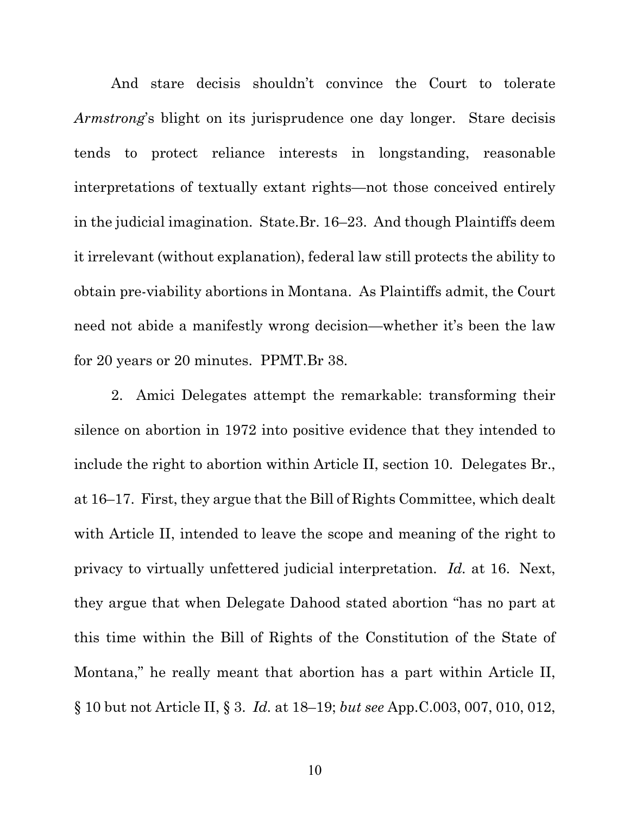And stare decisis shouldn't convince the Court to tolerate *Armstrong*'s blight on its jurisprudence one day longer. Stare decisis tends to protect reliance interests in longstanding, reasonable interpretations of textually extant rights—not those conceived entirely in the judicial imagination. State.Br. 16–23. And though Plaintiffs deem it irrelevant (without explanation), federal law still protects the ability to obtain pre-viability abortions in Montana. As Plaintiffs admit, the Court need not abide a manifestly wrong decision—whether it's been the law for 20 years or 20 minutes. PPMT.Br 38.

2. Amici Delegates attempt the remarkable: transforming their silence on abortion in 1972 into positive evidence that they intended to include the right to abortion within Article II, section 10. Delegates Br., at 16–17. First, they argue that the Bill of Rights Committee, which dealt with Article II, intended to leave the scope and meaning of the right to privacy to virtually unfettered judicial interpretation. *Id.* at 16. Next, they argue that when Delegate Dahood stated abortion "has no part at this time within the Bill of Rights of the Constitution of the State of Montana," he really meant that abortion has a part within Article II, § 10 but not Article II, § 3. *Id.* at 18–19; *but see* App.C.003, 007, 010, 012,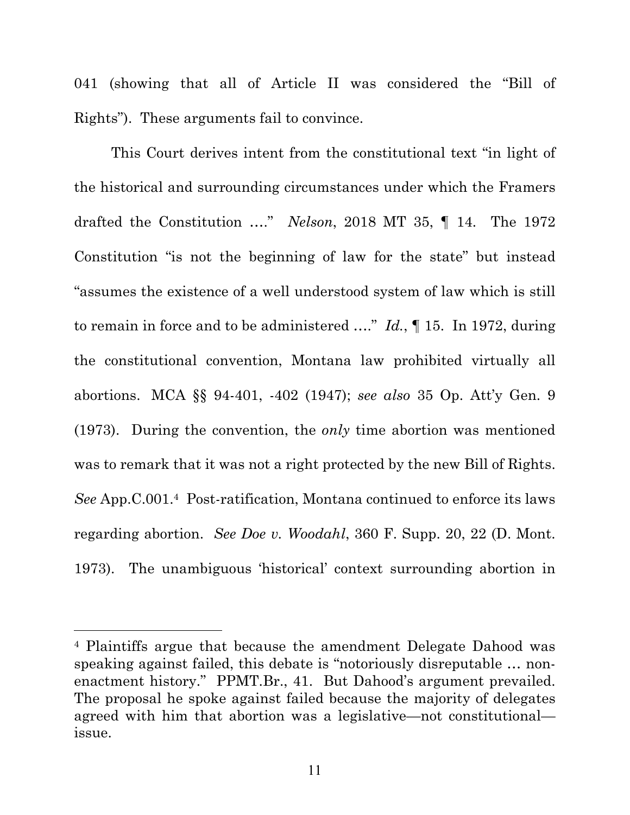041 (showing that all of Article II was considered the "Bill of Rights"). These arguments fail to convince.

This Court derives intent from the constitutional text "in light of the historical and surrounding circumstances under which the Framers drafted the Constitution …." *Nelson*, 2018 MT 35, ¶ 14. The 1972 Constitution "is not the beginning of law for the state" but instead "assumes the existence of a well understood system of law which is still to remain in force and to be administered …." *Id.*, ¶ 15. In 1972, during the constitutional convention, Montana law prohibited virtually all abortions. MCA §§ 94-401, -402 (1947); *see also* 35 Op. Att'y Gen. 9 (1973). During the convention, the *only* time abortion was mentioned was to remark that it was not a right protected by the new Bill of Rights. *See* App.C.001.4 Post-ratification, Montana continued to enforce its laws regarding abortion. *See Doe v. Woodahl*, 360 F. Supp. 20, 22 (D. Mont. 1973). The unambiguous 'historical' context surrounding abortion in

<sup>4</sup> Plaintiffs argue that because the amendment Delegate Dahood was speaking against failed, this debate is "notoriously disreputable … nonenactment history." PPMT.Br., 41. But Dahood's argument prevailed. The proposal he spoke against failed because the majority of delegates agreed with him that abortion was a legislative—not constitutional issue.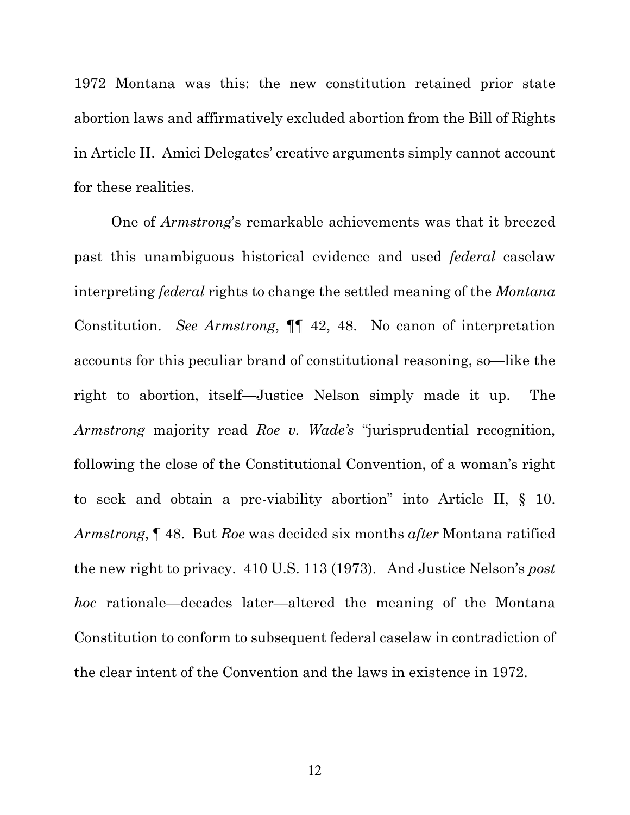1972 Montana was this: the new constitution retained prior state abortion laws and affirmatively excluded abortion from the Bill of Rights in Article II. Amici Delegates' creative arguments simply cannot account for these realities.

One of *Armstrong*'s remarkable achievements was that it breezed past this unambiguous historical evidence and used *federal* caselaw interpreting *federal* rights to change the settled meaning of the *Montana* Constitution. *See Armstrong*, ¶¶ 42, 48. No canon of interpretation accounts for this peculiar brand of constitutional reasoning, so—like the right to abortion, itself—Justice Nelson simply made it up. The *Armstrong* majority read *Roe v. Wade's* "jurisprudential recognition, following the close of the Constitutional Convention, of a woman's right to seek and obtain a pre-viability abortion" into Article II, § 10. *Armstrong*, ¶ 48. But *Roe* was decided six months *after* Montana ratified the new right to privacy. 410 U.S. 113 (1973). And Justice Nelson's *post hoc* rationale—decades later—altered the meaning of the Montana Constitution to conform to subsequent federal caselaw in contradiction of the clear intent of the Convention and the laws in existence in 1972.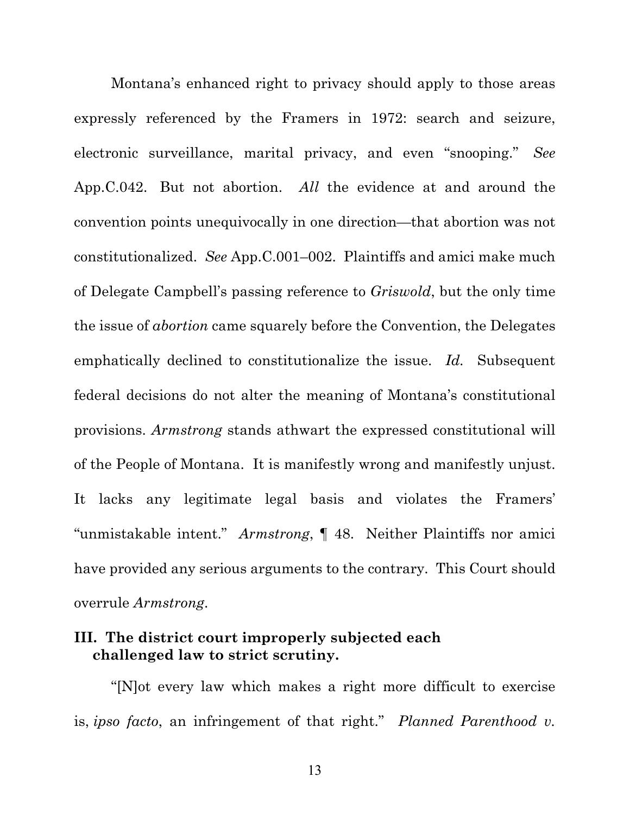Montana's enhanced right to privacy should apply to those areas expressly referenced by the Framers in 1972: search and seizure, electronic surveillance, marital privacy, and even "snooping." *See*  App.C.042. But not abortion. *All* the evidence at and around the convention points unequivocally in one direction—that abortion was not constitutionalized. *See* App.C.001–002. Plaintiffs and amici make much of Delegate Campbell's passing reference to *Griswold*, but the only time the issue of *abortion* came squarely before the Convention, the Delegates emphatically declined to constitutionalize the issue. *Id.* Subsequent federal decisions do not alter the meaning of Montana's constitutional provisions. *Armstrong* stands athwart the expressed constitutional will of the People of Montana. It is manifestly wrong and manifestly unjust. It lacks any legitimate legal basis and violates the Framers' "unmistakable intent." *Armstrong*, ¶ 48.Neither Plaintiffs nor amici have provided any serious arguments to the contrary. This Court should overrule *Armstrong*.

### **III. The district court improperly subjected each challenged law to strict scrutiny.**

 "[N]ot every law which makes a right more difficult to exercise is, *ipso facto*, an infringement of that right." *Planned Parenthood v.*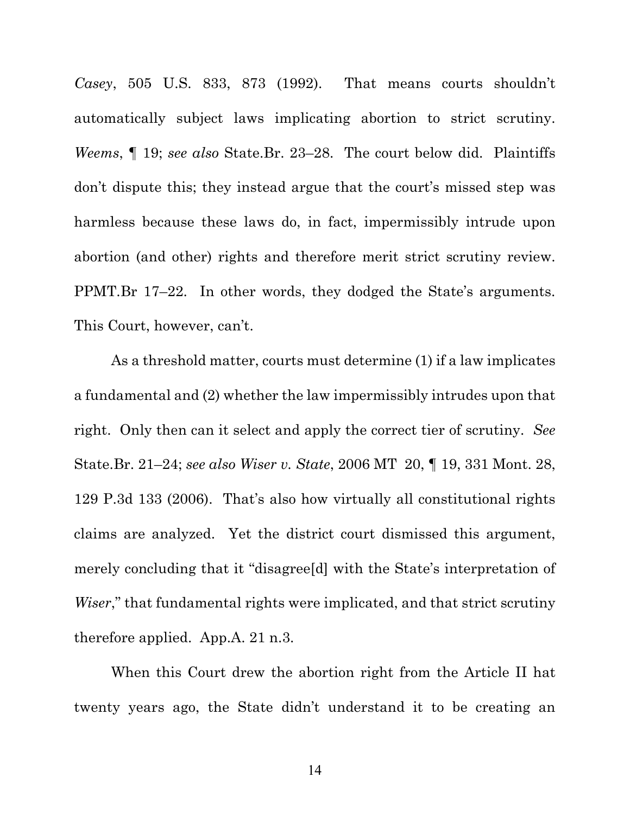*Casey*, 505 U.S. 833, 873 (1992). That means courts shouldn't automatically subject laws implicating abortion to strict scrutiny. *Weems*, ¶ 19; *see also* State.Br. 23–28. The court below did. Plaintiffs don't dispute this; they instead argue that the court's missed step was harmless because these laws do, in fact, impermissibly intrude upon abortion (and other) rights and therefore merit strict scrutiny review. PPMT.Br 17–22. In other words, they dodged the State's arguments. This Court, however, can't.

 As a threshold matter, courts must determine (1) if a law implicates a fundamental and (2) whether the law impermissibly intrudes upon that right. Only then can it select and apply the correct tier of scrutiny. *See*  State.Br. 21–24; *see also Wiser v. State*, 2006 MT 20, ¶ 19, 331 Mont. 28, 129 P.3d 133 (2006). That's also how virtually all constitutional rights claims are analyzed. Yet the district court dismissed this argument, merely concluding that it "disagree[d] with the State's interpretation of *Wiser*," that fundamental rights were implicated, and that strict scrutiny therefore applied. App.A. 21 n.3.

 When this Court drew the abortion right from the Article II hat twenty years ago, the State didn't understand it to be creating an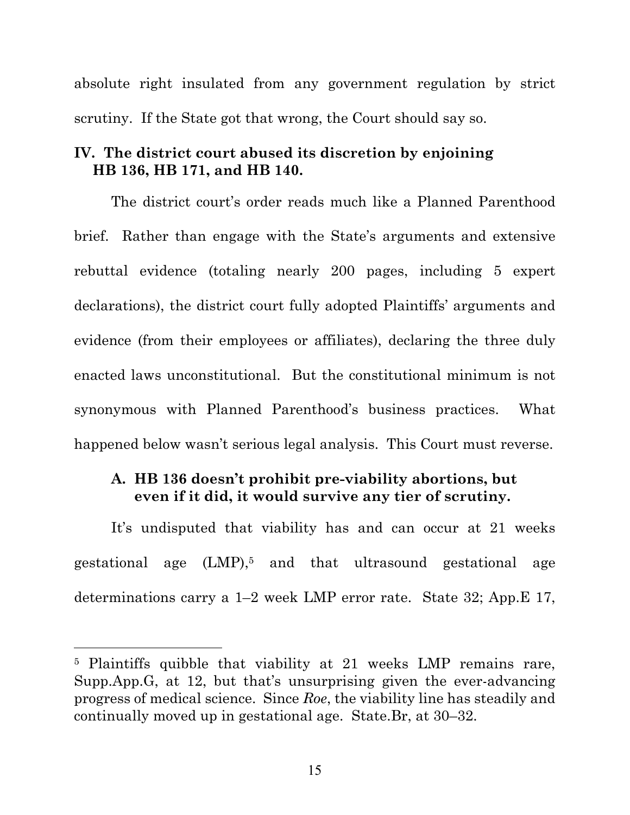absolute right insulated from any government regulation by strict scrutiny. If the State got that wrong, the Court should say so.

### **IV. The district court abused its discretion by enjoining HB 136, HB 171, and HB 140.**

The district court's order reads much like a Planned Parenthood brief. Rather than engage with the State's arguments and extensive rebuttal evidence (totaling nearly 200 pages, including 5 expert declarations), the district court fully adopted Plaintiffs' arguments and evidence (from their employees or affiliates), declaring the three duly enacted laws unconstitutional. But the constitutional minimum is not synonymous with Planned Parenthood's business practices. What happened below wasn't serious legal analysis. This Court must reverse.

### **A. HB 136 doesn't prohibit pre-viability abortions, but even if it did, it would survive any tier of scrutiny.**

It's undisputed that viability has and can occur at 21 weeks gestational age (LMP),5 and that ultrasound gestational age determinations carry a 1–2 week LMP error rate. State 32; App.E 17,

<sup>5</sup> Plaintiffs quibble that viability at 21 weeks LMP remains rare, Supp.App.G, at 12, but that's unsurprising given the ever-advancing progress of medical science. Since *Roe*, the viability line has steadily and continually moved up in gestational age. State.Br, at 30–32.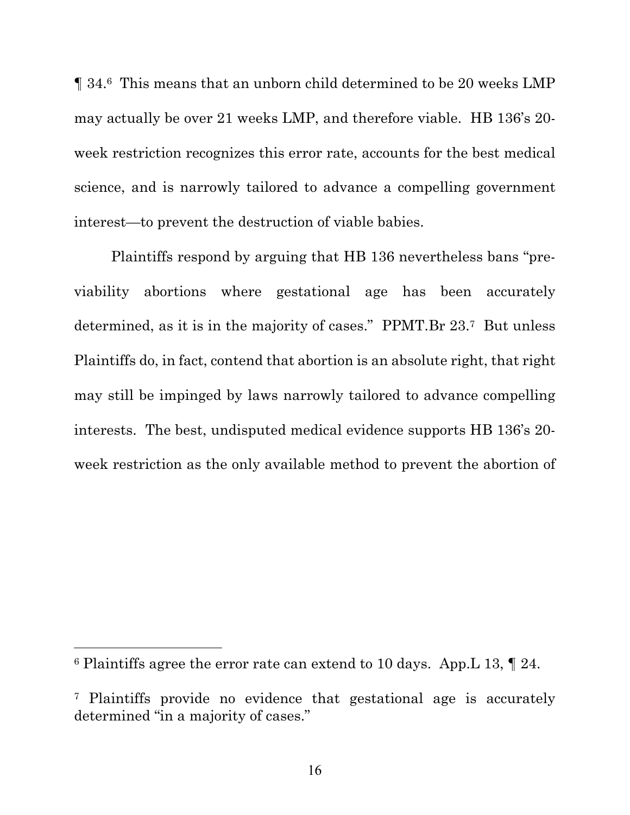¶ 34.6 This means that an unborn child determined to be 20 weeks LMP may actually be over 21 weeks LMP, and therefore viable. HB 136's 20 week restriction recognizes this error rate, accounts for the best medical science, and is narrowly tailored to advance a compelling government interest—to prevent the destruction of viable babies.

Plaintiffs respond by arguing that HB 136 nevertheless bans "previability abortions where gestational age has been accurately determined, as it is in the majority of cases." PPMT.Br 23.7 But unless Plaintiffs do, in fact, contend that abortion is an absolute right, that right may still be impinged by laws narrowly tailored to advance compelling interests. The best, undisputed medical evidence supports HB 136's 20 week restriction as the only available method to prevent the abortion of

<sup>6</sup> Plaintiffs agree the error rate can extend to 10 days. App.L 13, ¶ 24.

<sup>7</sup> Plaintiffs provide no evidence that gestational age is accurately determined "in a majority of cases."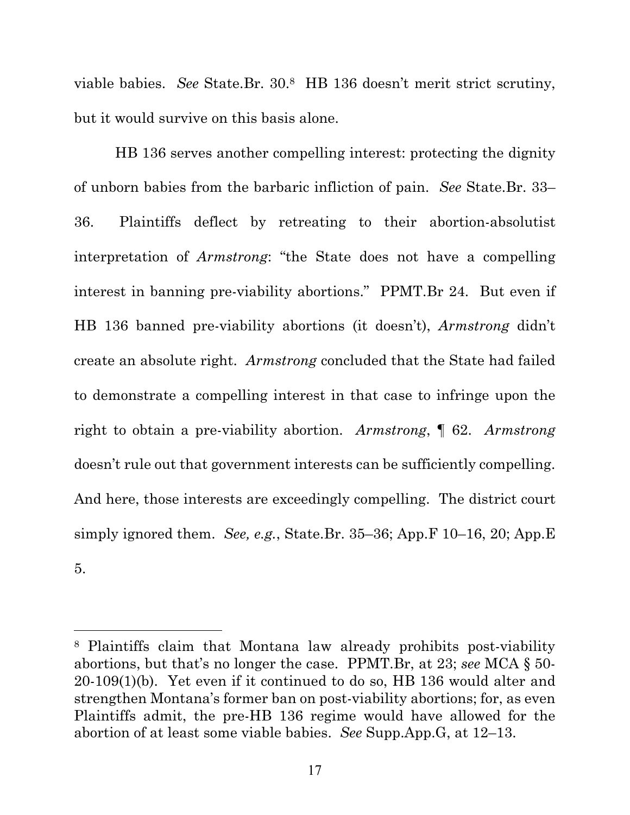viable babies. *See* State.Br. 30.8 HB 136 doesn't merit strict scrutiny, but it would survive on this basis alone.

 HB 136 serves another compelling interest: protecting the dignity of unborn babies from the barbaric infliction of pain. *See* State.Br. 33– 36. Plaintiffs deflect by retreating to their abortion-absolutist interpretation of *Armstrong*: "the State does not have a compelling interest in banning pre-viability abortions." PPMT.Br 24. But even if HB 136 banned pre-viability abortions (it doesn't), *Armstrong* didn't create an absolute right. *Armstrong* concluded that the State had failed to demonstrate a compelling interest in that case to infringe upon the right to obtain a pre-viability abortion. *Armstrong*, ¶ 62. *Armstrong* doesn't rule out that government interests can be sufficiently compelling. And here, those interests are exceedingly compelling. The district court simply ignored them. *See, e.g.*, State.Br. 35–36; App.F 10–16, 20; App.E 5.

<sup>8</sup> Plaintiffs claim that Montana law already prohibits post-viability abortions, but that's no longer the case. PPMT.Br, at 23; *see* MCA § 50- 20-109(1)(b). Yet even if it continued to do so, HB 136 would alter and strengthen Montana's former ban on post-viability abortions; for, as even Plaintiffs admit, the pre-HB 136 regime would have allowed for the abortion of at least some viable babies. *See* Supp.App.G, at 12–13.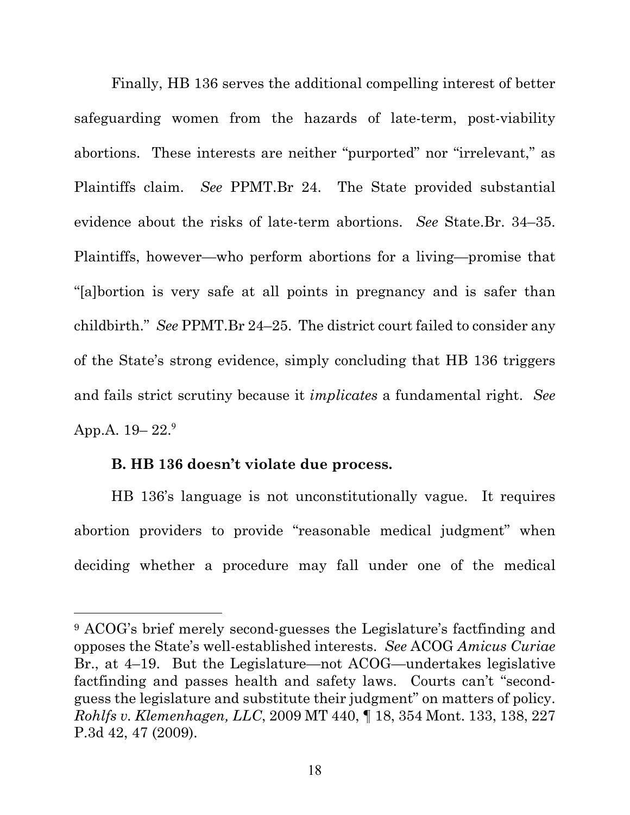Finally, HB 136 serves the additional compelling interest of better safeguarding women from the hazards of late-term, post-viability abortions. These interests are neither "purported" nor "irrelevant," as Plaintiffs claim. *See* PPMT.Br 24. The State provided substantial evidence about the risks of late-term abortions. *See* State.Br. 34–35. Plaintiffs, however—who perform abortions for a living—promise that "[a]bortion is very safe at all points in pregnancy and is safer than childbirth." *See* PPMT.Br 24–25. The district court failed to consider any of the State's strong evidence, simply concluding that HB 136 triggers and fails strict scrutiny because it *implicates* a fundamental right. *See*  App.A.  $19-22.^9$ 

#### **B. HB 136 doesn't violate due process.**

HB 136's language is not unconstitutionally vague. It requires abortion providers to provide "reasonable medical judgment" when deciding whether a procedure may fall under one of the medical

<sup>9</sup> ACOG's brief merely second-guesses the Legislature's factfinding and opposes the State's well-established interests. *See* ACOG *Amicus Curiae*  Br., at 4–19. But the Legislature—not ACOG—undertakes legislative factfinding and passes health and safety laws. Courts can't "secondguess the legislature and substitute their judgment" on matters of policy. *Rohlfs v. Klemenhagen, LLC*, 2009 MT 440, ¶ 18, 354 Mont. 133, 138, 227 P.3d 42, 47 (2009).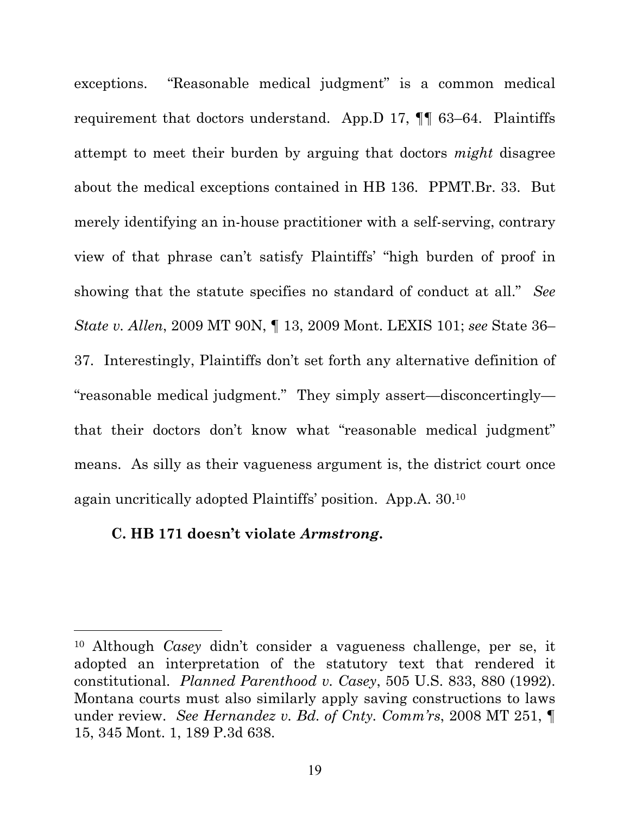exceptions. "Reasonable medical judgment" is a common medical requirement that doctors understand. App.D 17, ¶¶ 63–64. Plaintiffs attempt to meet their burden by arguing that doctors *might* disagree about the medical exceptions contained in HB 136. PPMT.Br. 33. But merely identifying an in-house practitioner with a self-serving, contrary view of that phrase can't satisfy Plaintiffs' "high burden of proof in showing that the statute specifies no standard of conduct at all." *See State v. Allen*, 2009 MT 90N, ¶ 13, 2009 Mont. LEXIS 101; *see* State 36– 37. Interestingly, Plaintiffs don't set forth any alternative definition of "reasonable medical judgment." They simply assert—disconcertingly that their doctors don't know what "reasonable medical judgment" means. As silly as their vagueness argument is, the district court once again uncritically adopted Plaintiffs' position. App.A. 30.10

#### **C. HB 171 doesn't violate** *Armstrong***.**

<sup>10</sup> Although *Casey* didn't consider a vagueness challenge, per se, it adopted an interpretation of the statutory text that rendered it constitutional. *Planned Parenthood v. Casey*, 505 U.S. 833, 880 (1992). Montana courts must also similarly apply saving constructions to laws under review. *See Hernandez v. Bd. of Cnty. Comm'rs*, 2008 MT 251, ¶ 15, 345 Mont. 1, 189 P.3d 638.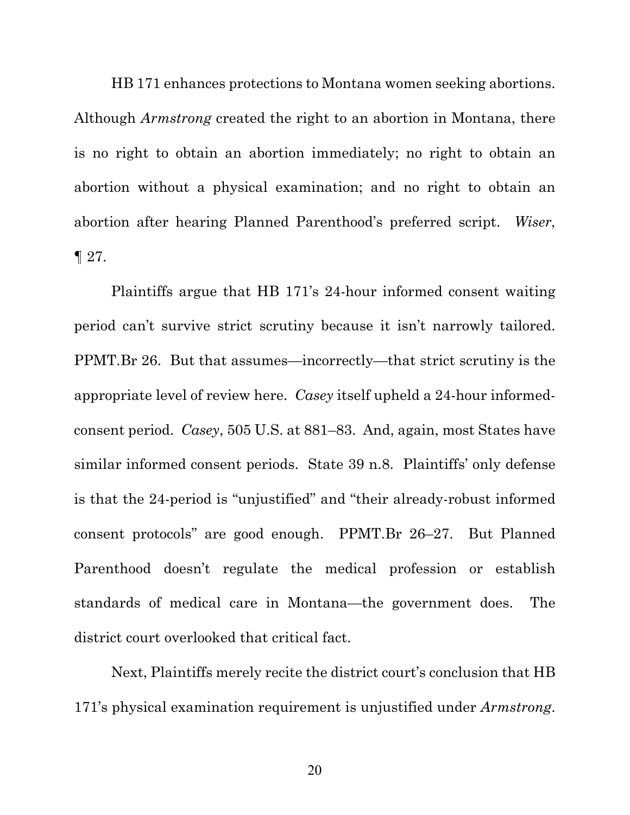HB 171 enhances protections to Montana women seeking abortions. Although *Armstrong* created the right to an abortion in Montana, there is no right to obtain an abortion immediately; no right to obtain an abortion without a physical examination; and no right to obtain an abortion after hearing Planned Parenthood's preferred script. *Wiser*, ¶ 27.

Plaintiffs argue that HB 171's 24-hour informed consent waiting period can't survive strict scrutiny because it isn't narrowly tailored. PPMT.Br 26. But that assumes—incorrectly—that strict scrutiny is the appropriate level of review here. *Casey* itself upheld a 24-hour informedconsent period. *Casey*, 505 U.S. at 881–83. And, again, most States have similar informed consent periods. State 39 n.8. Plaintiffs' only defense is that the 24-period is "unjustified" and "their already-robust informed consent protocols" are good enough. PPMT.Br 26–27. But Planned Parenthood doesn't regulate the medical profession or establish standards of medical care in Montana—the government does. The district court overlooked that critical fact.

Next, Plaintiffs merely recite the district court's conclusion that HB 171's physical examination requirement is unjustified under *Armstrong*.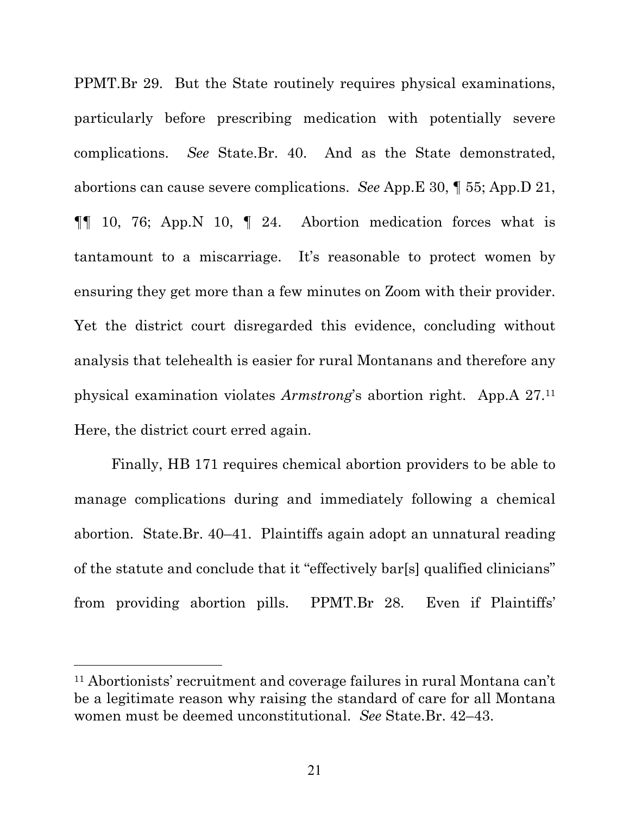PPMT.Br 29. But the State routinely requires physical examinations, particularly before prescribing medication with potentially severe complications. *See* State.Br. 40. And as the State demonstrated, abortions can cause severe complications. *See* App.E 30, ¶ 55; App.D 21,  $\P\P$  10, 76; App. N 10,  $\P$  24. Abortion medication forces what is tantamount to a miscarriage. It's reasonable to protect women by ensuring they get more than a few minutes on Zoom with their provider. Yet the district court disregarded this evidence, concluding without analysis that telehealth is easier for rural Montanans and therefore any physical examination violates *Armstrong*'s abortion right. App.A 27.11 Here, the district court erred again.

Finally, HB 171 requires chemical abortion providers to be able to manage complications during and immediately following a chemical abortion. State.Br. 40–41. Plaintiffs again adopt an unnatural reading of the statute and conclude that it "effectively bar[s] qualified clinicians" from providing abortion pills. PPMT.Br 28. Even if Plaintiffs'

<sup>11</sup> Abortionists' recruitment and coverage failures in rural Montana can't be a legitimate reason why raising the standard of care for all Montana women must be deemed unconstitutional. *See* State.Br. 42–43.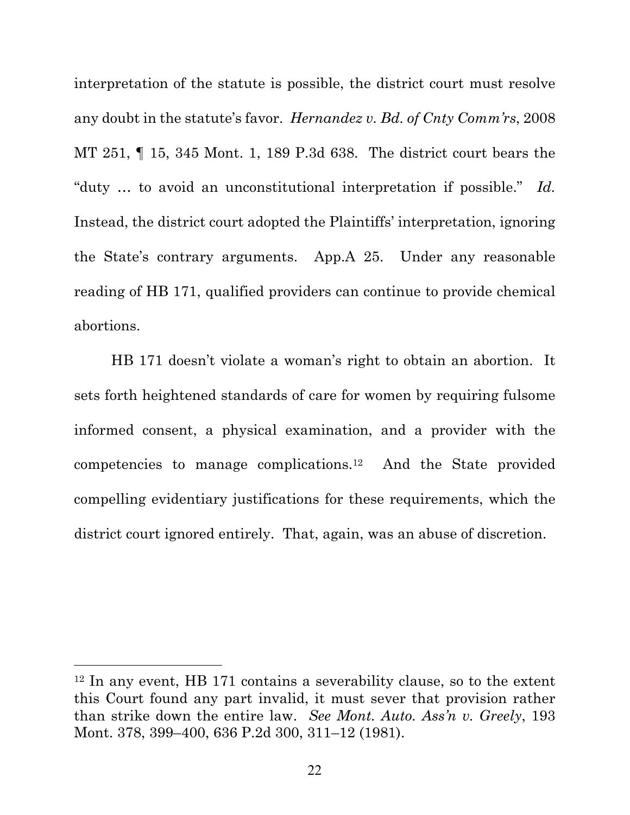interpretation of the statute is possible, the district court must resolve any doubt in the statute's favor. *Hernandez v. Bd. of Cnty Comm'rs*, 2008 MT 251, ¶ 15, 345 Mont. 1, 189 P.3d 638. The district court bears the "duty … to avoid an unconstitutional interpretation if possible." *Id.* Instead, the district court adopted the Plaintiffs' interpretation, ignoring the State's contrary arguments. App.A 25. Under any reasonable reading of HB 171, qualified providers can continue to provide chemical abortions.

HB 171 doesn't violate a woman's right to obtain an abortion. It sets forth heightened standards of care for women by requiring fulsome informed consent, a physical examination, and a provider with the competencies to manage complications.12 And the State provided compelling evidentiary justifications for these requirements, which the district court ignored entirely. That, again, was an abuse of discretion.

<sup>12</sup> In any event, HB 171 contains a severability clause, so to the extent this Court found any part invalid, it must sever that provision rather than strike down the entire law. *See Mont. Auto. Ass'n v. Greely*, 193 Mont. 378, 399–400, 636 P.2d 300, 311–12 (1981).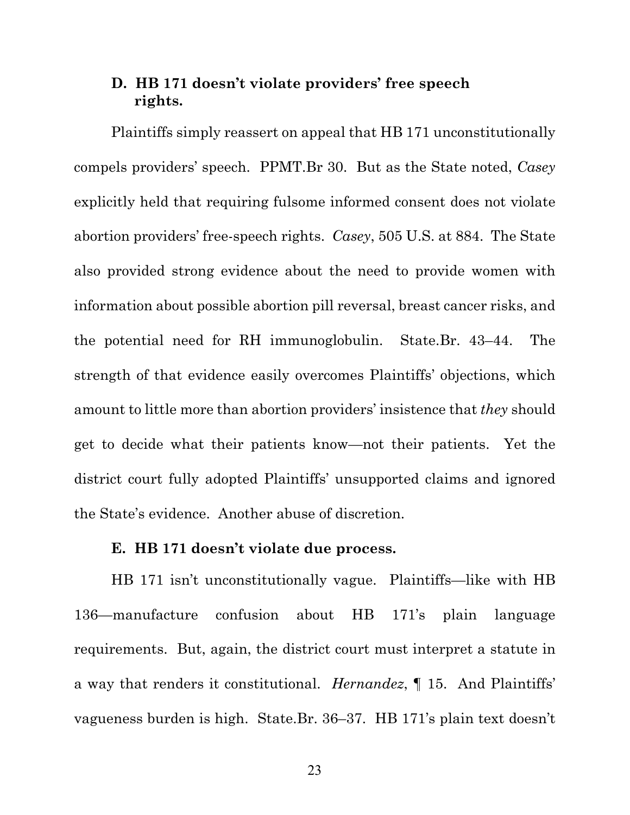### **D. HB 171 doesn't violate providers' free speech rights.**

Plaintiffs simply reassert on appeal that HB 171 unconstitutionally compels providers' speech. PPMT.Br 30. But as the State noted, *Casey* explicitly held that requiring fulsome informed consent does not violate abortion providers' free-speech rights. *Casey*, 505 U.S. at 884. The State also provided strong evidence about the need to provide women with information about possible abortion pill reversal, breast cancer risks, and the potential need for RH immunoglobulin. State.Br. 43–44. The strength of that evidence easily overcomes Plaintiffs' objections, which amount to little more than abortion providers' insistence that *they* should get to decide what their patients know—not their patients. Yet the district court fully adopted Plaintiffs' unsupported claims and ignored the State's evidence. Another abuse of discretion.

#### **E. HB 171 doesn't violate due process.**

HB 171 isn't unconstitutionally vague. Plaintiffs—like with HB 136—manufacture confusion about HB 171's plain language requirements. But, again, the district court must interpret a statute in a way that renders it constitutional. *Hernandez*, ¶ 15. And Plaintiffs' vagueness burden is high. State.Br. 36–37. HB 171's plain text doesn't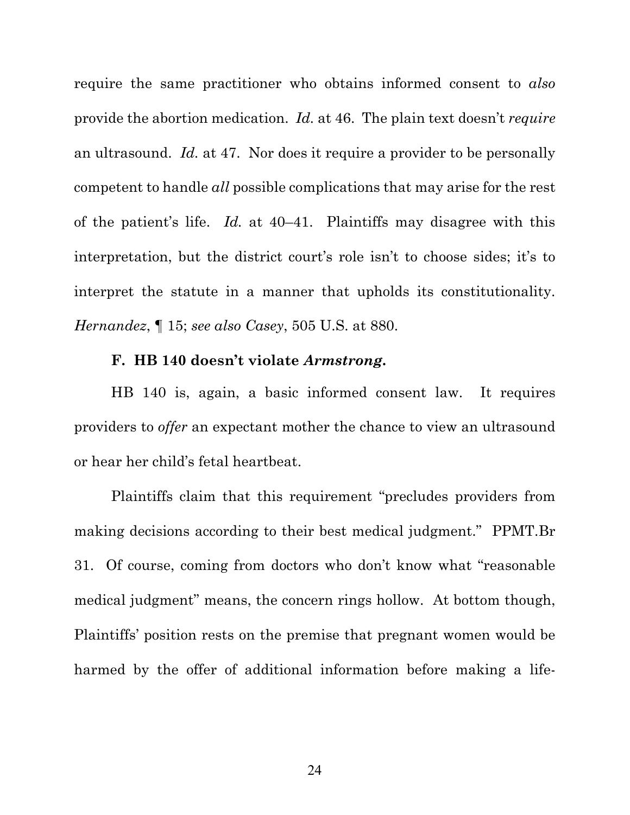require the same practitioner who obtains informed consent to *also* provide the abortion medication. *Id.* at 46. The plain text doesn't *require* an ultrasound. *Id.* at 47. Nor does it require a provider to be personally competent to handle *all* possible complications that may arise for the rest of the patient's life. *Id.* at 40–41. Plaintiffs may disagree with this interpretation, but the district court's role isn't to choose sides; it's to interpret the statute in a manner that upholds its constitutionality. *Hernandez*, ¶ 15; *see also Casey*, 505 U.S. at 880.

#### **F. HB 140 doesn't violate** *Armstrong***.**

HB 140 is, again, a basic informed consent law. It requires providers to *offer* an expectant mother the chance to view an ultrasound or hear her child's fetal heartbeat.

Plaintiffs claim that this requirement "precludes providers from making decisions according to their best medical judgment." PPMT.Br 31. Of course, coming from doctors who don't know what "reasonable medical judgment" means, the concern rings hollow. At bottom though, Plaintiffs' position rests on the premise that pregnant women would be harmed by the offer of additional information before making a life-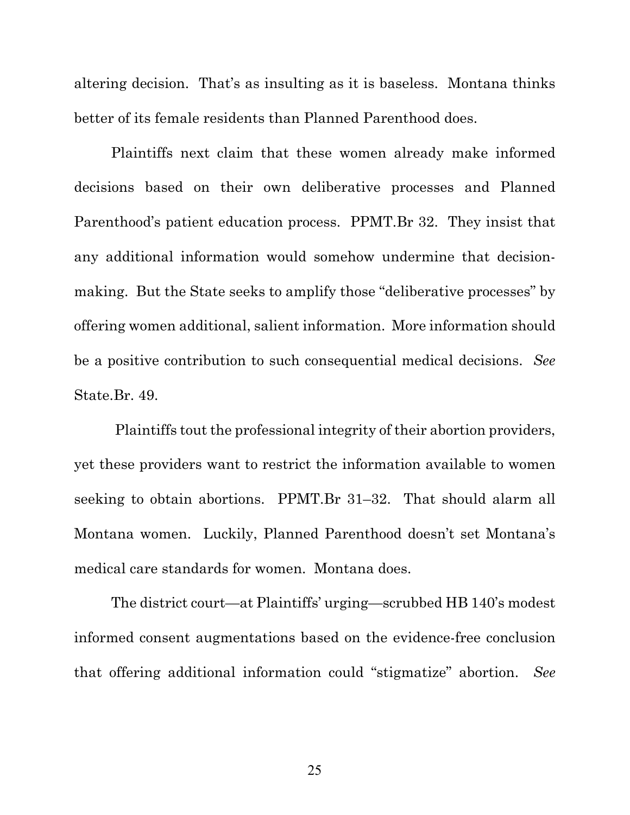altering decision. That's as insulting as it is baseless. Montana thinks better of its female residents than Planned Parenthood does.

Plaintiffs next claim that these women already make informed decisions based on their own deliberative processes and Planned Parenthood's patient education process. PPMT.Br 32. They insist that any additional information would somehow undermine that decisionmaking. But the State seeks to amplify those "deliberative processes" by offering women additional, salient information. More information should be a positive contribution to such consequential medical decisions. *See* State.Br. 49.

 Plaintiffs tout the professional integrity of their abortion providers, yet these providers want to restrict the information available to women seeking to obtain abortions. PPMT.Br 31–32. That should alarm all Montana women. Luckily, Planned Parenthood doesn't set Montana's medical care standards for women. Montana does.

The district court—at Plaintiffs' urging—scrubbed HB 140's modest informed consent augmentations based on the evidence-free conclusion that offering additional information could "stigmatize" abortion. *See*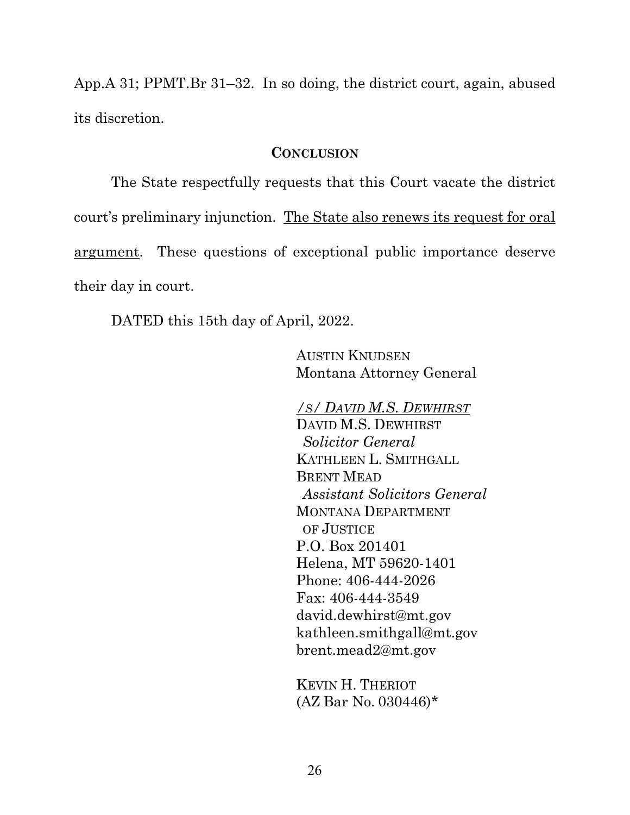App.A 31; PPMT.Br 31–32. In so doing, the district court, again, abused its discretion.

#### **CONCLUSION**

 The State respectfully requests that this Court vacate the district court's preliminary injunction. The State also renews its request for oral argument. These questions of exceptional public importance deserve their day in court.

DATED this 15th day of April, 2022.

AUSTIN KNUDSEN Montana Attorney General

*/S/ DAVID M.S. DEWHIRST* DAVID M.S. DEWHIRST  *Solicitor General*  KATHLEEN L. SMITHGALL BRENT MEAD  *Assistant Solicitors General*  MONTANA DEPARTMENT OF JUSTICE P.O. Box 201401 Helena, MT 59620-1401 Phone: 406-444-2026 Fax: 406-444-3549 david.dewhirst@mt.gov kathleen.smithgall@mt.gov brent.mead2@mt.gov

KEVIN H. THERIOT (AZ Bar No. 030446)\*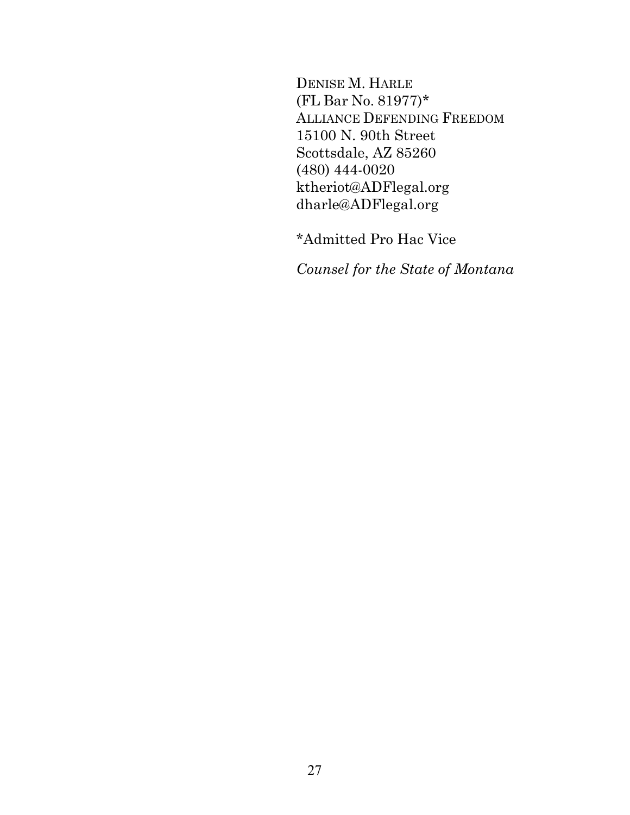DENISE M. HARLE (FL Bar No. 81977)\* ALLIANCE DEFENDING FREEDOM 15100 N. 90th Street Scottsdale, AZ 85260 (480) 444-0020 ktheriot@ADFlegal.org dharle@ADFlegal.org

\*Admitted Pro Hac Vice

*Counsel for the State of Montana*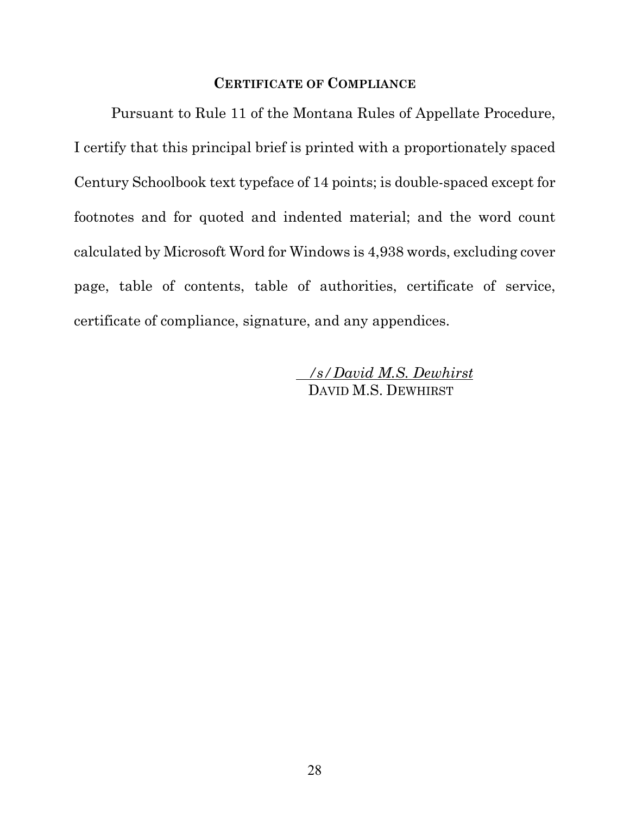#### **CERTIFICATE OF COMPLIANCE**

 Pursuant to Rule 11 of the Montana Rules of Appellate Procedure, I certify that this principal brief is printed with a proportionately spaced Century Schoolbook text typeface of 14 points; is double-spaced except for footnotes and for quoted and indented material; and the word count calculated by Microsoft Word for Windows is 4,938 words, excluding cover page, table of contents, table of authorities, certificate of service, certificate of compliance, signature, and any appendices.

> */s/David M.S. Dewhirst* DAVID M.S. DEWHIRST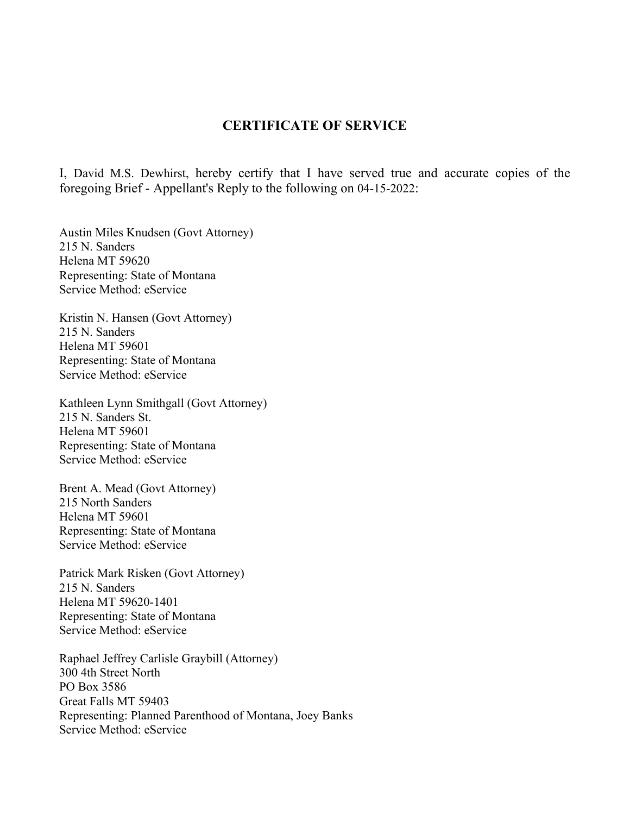#### **CERTIFICATE OF SERVICE**

I, David M.S. Dewhirst, hereby certify that I have served true and accurate copies of the foregoing Brief - Appellant's Reply to the following on 04-15-2022:

Austin Miles Knudsen (Govt Attorney) 215 N. Sanders Helena MT 59620 Representing: State of Montana Service Method: eService

Kristin N. Hansen (Govt Attorney) 215 N. Sanders Helena MT 59601 Representing: State of Montana Service Method: eService

Kathleen Lynn Smithgall (Govt Attorney) 215 N. Sanders St. Helena MT 59601 Representing: State of Montana Service Method: eService

Brent A. Mead (Govt Attorney) 215 North Sanders Helena MT 59601 Representing: State of Montana Service Method: eService

Patrick Mark Risken (Govt Attorney) 215 N. Sanders Helena MT 59620-1401 Representing: State of Montana Service Method: eService

Raphael Jeffrey Carlisle Graybill (Attorney) 300 4th Street North PO Box 3586 Great Falls MT 59403 Representing: Planned Parenthood of Montana, Joey Banks Service Method: eService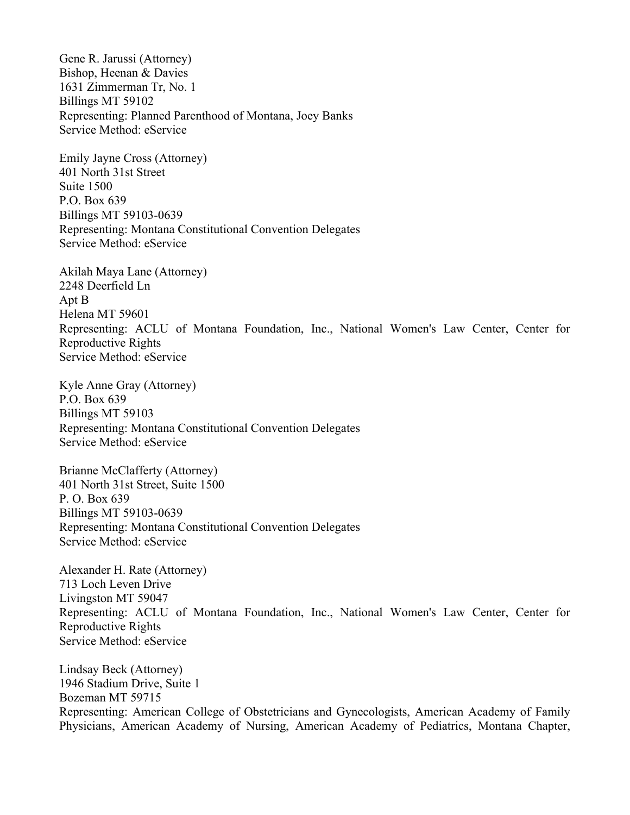Gene R. Jarussi (Attorney) Bishop, Heenan & Davies 1631 Zimmerman Tr, No. 1 Billings MT 59102 Representing: Planned Parenthood of Montana, Joey Banks Service Method: eService

Emily Jayne Cross (Attorney) 401 North 31st Street Suite 1500 P.O. Box 639 Billings MT 59103-0639 Representing: Montana Constitutional Convention Delegates Service Method: eService

Akilah Maya Lane (Attorney) 2248 Deerfield Ln Apt B Helena MT 59601 Representing: ACLU of Montana Foundation, Inc., National Women's Law Center, Center for Reproductive Rights Service Method: eService

Kyle Anne Gray (Attorney) P.O. Box 639 Billings MT 59103 Representing: Montana Constitutional Convention Delegates Service Method: eService

Brianne McClafferty (Attorney) 401 North 31st Street, Suite 1500 P. O. Box 639 Billings MT 59103-0639 Representing: Montana Constitutional Convention Delegates Service Method: eService

Alexander H. Rate (Attorney) 713 Loch Leven Drive Livingston MT 59047 Representing: ACLU of Montana Foundation, Inc., National Women's Law Center, Center for Reproductive Rights Service Method: eService

Lindsay Beck (Attorney) 1946 Stadium Drive, Suite 1 Bozeman MT 59715 Representing: American College of Obstetricians and Gynecologists, American Academy of Family Physicians, American Academy of Nursing, American Academy of Pediatrics, Montana Chapter,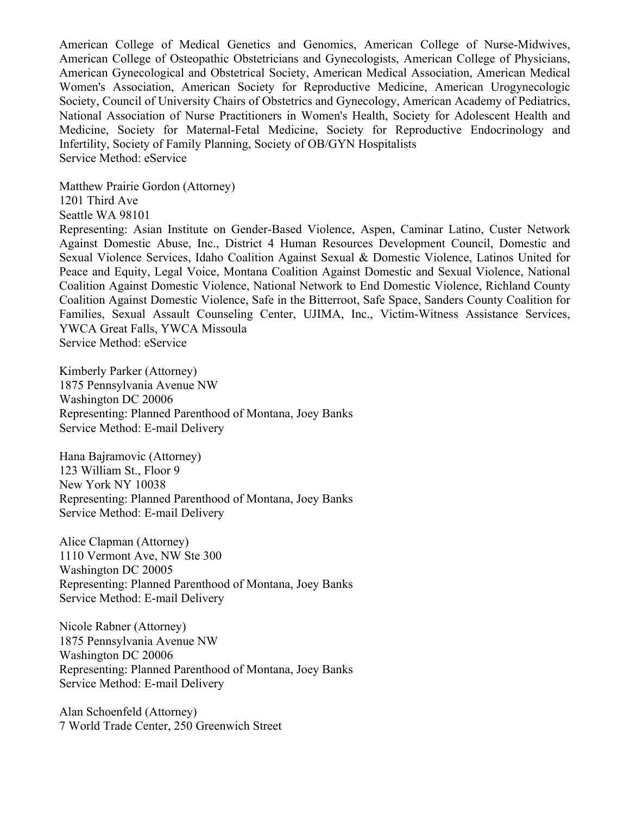American College of Medical Genetics and Genomics, American College of Nurse-Midwives, American College of Osteopathic Obstetricians and Gynecologists, American College of Physicians, American Gynecological and Obstetrical Society, American Medical Association, American Medical Women's Association, American Society for Reproductive Medicine, American Urogynecologic Society, Council of University Chairs of Obstetrics and Gynecology, American Academy of Pediatrics, National Association of Nurse Practitioners in Women's Health, Society for Adolescent Health and Medicine, Society for Maternal-Fetal Medicine, Society for Reproductive Endocrinology and Infertility, Society of Family Planning, Society of OB/GYN Hospitalists Service Method: eService

Matthew Prairie Gordon (Attorney) 1201 Third Ave Seattle WA 98101

Representing: Asian Institute on Gender-Based Violence, Aspen, Caminar Latino, Custer Network Against Domestic Abuse, Inc., District 4 Human Resources Development Council, Domestic and Sexual Violence Services, Idaho Coalition Against Sexual & Domestic Violence, Latinos United for Peace and Equity, Legal Voice, Montana Coalition Against Domestic and Sexual Violence, National Coalition Against Domestic Violence, National Network to End Domestic Violence, Richland County Coalition Against Domestic Violence, Safe in the Bitterroot, Safe Space, Sanders County Coalition for Families, Sexual Assault Counseling Center, UJIMA, Inc., Victim-Witness Assistance Services, YWCA Great Falls, YWCA Missoula Service Method: eService

Kimberly Parker (Attorney) 1875 Pennsylvania Avenue NW Washington DC 20006 Representing: Planned Parenthood of Montana, Joey Banks Service Method: E-mail Delivery

Hana Bajramovic (Attorney) 123 William St., Floor 9 New York NY 10038 Representing: Planned Parenthood of Montana, Joey Banks Service Method: E-mail Delivery

Alice Clapman (Attorney) 1110 Vermont Ave, NW Ste 300 Washington DC 20005 Representing: Planned Parenthood of Montana, Joey Banks Service Method: E-mail Delivery

Nicole Rabner (Attorney) 1875 Pennsylvania Avenue NW Washington DC 20006 Representing: Planned Parenthood of Montana, Joey Banks Service Method: E-mail Delivery

Alan Schoenfeld (Attorney) 7 World Trade Center, 250 Greenwich Street